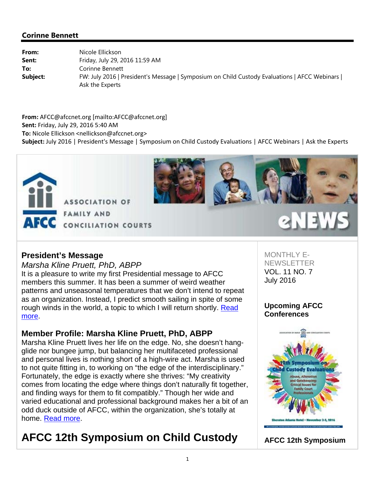

# eNEWS

#### **President's Message**

*Marsha Kline Pruett, PhD, ABPP* It is a pleasure to write my first Presidential message to AFCC members this summer. It has been a summer of weird weather patterns and unseasonal temperatures that we don't intend to repeat as an organization. Instead, I predict smooth sailing in spite of some rough winds in the world, a topic to which I will return shortly. Read more.

#### **Member Profile: Marsha Kline Pruett, PhD, ABPP**

Marsha Kline Pruett lives her life on the edge. No, she doesn't hangglide nor bungee jump, but balancing her multifaceted professional and personal lives is nothing short of a high-wire act. Marsha is used to not quite fitting in, to working on "the edge of the interdisciplinary." Fortunately, the edge is exactly where she thrives: "My creativity comes from locating the edge where things don't naturally fit together, and finding ways for them to fit compatibly." Though her wide and varied educational and professional background makes her a bit of an odd duck outside of AFCC, within the organization, she's totally at home. Read more.

# **AFCC 12th Symposium on Child Custody**

MONTHLY E-**NEWSLETTER** VOL. 11 NO. 7 July 2016

#### **Upcoming AFCC Conferences**



**AFCC 12th Symposium**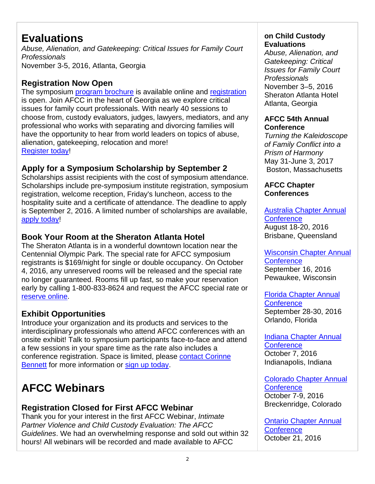# **Evaluations**

*Abuse, Alienation, and Gatekeeping: Critical Issues for Family Court Professionals* November 3-5, 2016, Atlanta, Georgia

## **Registration Now Open**

The symposium program brochure is available online and registration is open. Join AFCC in the heart of Georgia as we explore critical issues for family court professionals. With nearly 40 sessions to choose from, custody evaluators, judges, lawyers, mediators, and any professional who works with separating and divorcing families will have the opportunity to hear from world leaders on topics of abuse, alienation, gatekeeping, relocation and more! Register today!

# **Apply for a Symposium Scholarship by September 2**

Scholarships assist recipients with the cost of symposium attendance. Scholarships include pre-symposium institute registration, symposium registration, welcome reception, Friday's luncheon, access to the hospitality suite and a certificate of attendance. The deadline to apply is September 2, 2016. A limited number of scholarships are available, apply today!

# **Book Your Room at the Sheraton Atlanta Hotel**

The Sheraton Atlanta is in a wonderful downtown location near the Centennial Olympic Park. The special rate for AFCC symposium registrants is \$169/night for single or double occupancy. On October 4, 2016, any unreserved rooms will be released and the special rate no longer guaranteed. Rooms fill up fast, so make your reservation early by calling 1-800-833-8624 and request the AFCC special rate or reserve online.

## **Exhibit Opportunities**

Introduce your organization and its products and services to the interdisciplinary professionals who attend AFCC conferences with an onsite exhibit! Talk to symposium participants face-to-face and attend a few sessions in your spare time as the rate also includes a conference registration. Space is limited, please contact Corinne Bennett for more information or sign up today.

# **AFCC Webinars**

# **Registration Closed for First AFCC Webinar**

Thank you for your interest in the first AFCC Webinar, *Intimate Partner Violence and Child Custody Evaluation: The AFCC Guidelines*. We had an overwhelming response and sold out within 32 hours! All webinars will be recorded and made available to AFCC

## **on Child Custody Evaluations**

*Abuse, Alienation, and Gatekeeping: Critical Issues for Family Court Professionals* November 3–5, 2016 Sheraton Atlanta Hotel Atlanta, Georgia

#### **AFCC 54th Annual Conference**

*Turning the Kaleidoscope of Family Conflict into a Prism of Harmony* May 31-June 3, 2017 Boston, Massachusetts

#### **AFCC Chapter Conferences**

Australia Chapter Annual **Conference** August 18-20, 2016 Brisbane, Queensland

Wisconsin Chapter Annual **Conference** September 16, 2016 Pewaukee, Wisconsin

Florida Chapter Annual **Conference** September 28-30, 2016 Orlando, Florida

Indiana Chapter Annual **Conference** October 7, 2016 Indianapolis, Indiana

Colorado Chapter Annual **Conference** October 7-9, 2016 Breckenridge, Colorado

Ontario Chapter Annual **Conference** October 21, 2016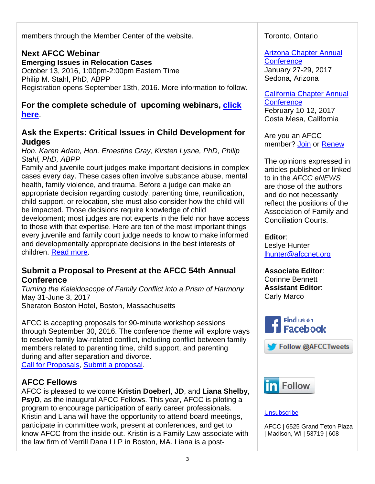members through the Member Center of the website.

# **Next AFCC Webinar**

**Emerging Issues in Relocation Cases** October 13, 2016, 1:00pm-2:00pm Eastern Time Philip M. Stahl, PhD, ABPP Registration opens September 13th, 2016. More information to follow.

#### **For the complete schedule of upcoming webinars, click here**.

## **Ask the Experts: Critical Issues in Child Development for Judges**

*Hon. Karen Adam, Hon. Ernestine Gray, Kirsten Lysne, PhD, Philip Stahl, PhD, ABPP*

Family and juvenile court judges make important decisions in complex cases every day. These cases often involve substance abuse, mental health, family violence, and trauma. Before a judge can make an appropriate decision regarding custody, parenting time, reunification, child support, or relocation, she must also consider how the child will be impacted. Those decisions require knowledge of child development; most judges are not experts in the field nor have access to those with that expertise. Here are ten of the most important things every juvenile and family court judge needs to know to make informed and developmentally appropriate decisions in the best interests of children. Read more.

#### **Submit a Proposal to Present at the AFCC 54th Annual Conference**

*Turning the Kaleidoscope of Family Conflict into a Prism of Harmony* May 31-June 3, 2017 Sheraton Boston Hotel, Boston, Massachusetts

AFCC is accepting proposals for 90-minute workshop sessions through September 30, 2016. The conference theme will explore ways to resolve family law-related conflict, including conflict between family members related to parenting time, child support, and parenting during and after separation and divorce. Call for Proposals, Submit a proposal.

## **AFCC Fellows**

AFCC is pleased to welcome **Kristin Doeberl**, **JD**, and **Liana Shelby**, **PsyD**, as the inaugural AFCC Fellows. This year, AFCC is piloting a program to encourage participation of early career professionals. Kristin and Liana will have the opportunity to attend board meetings, participate in committee work, present at conferences, and get to know AFCC from the inside out. Kristin is a Family Law associate with the law firm of Verrill Dana LLP in Boston, MA. Liana is a post-

#### Toronto, Ontario

Arizona Chapter Annual **Conference** January 27-29, 2017 Sedona, Arizona

California Chapter Annual **Conference** February 10-12, 2017 Costa Mesa, California

Are you an AFCC member? Join or Renew

The opinions expressed in articles published or linked to in the *AFCC eNEWS* are those of the authors and do not necessarily reflect the positions of the Association of Family and Conciliation Courts.

**Editor**: Leslye Hunter lhunter@afccnet.org

**Associate Editor**: Corinne Bennett **Assistant Editor**: Carly Marco



Follow @AFCCTweets



#### **Unsubscribe**

AFCC | 6525 Grand Teton Plaza | Madison, WI | 53719 | 608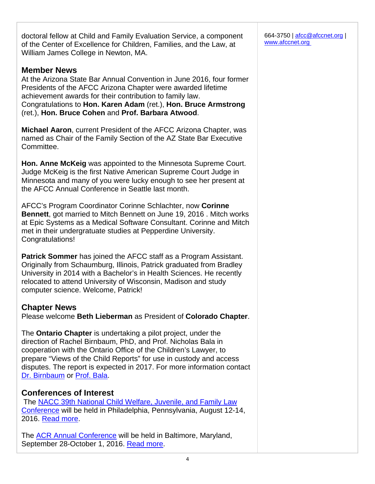doctoral fellow at Child and Family Evaluation Service, a component of the Center of Excellence for Children, Families, and the Law, at William James College in Newton, MA.

#### **Member News**

At the Arizona State Bar Annual Convention in June 2016, four former Presidents of the AFCC Arizona Chapter were awarded lifetime achievement awards for their contribution to family law. Congratulations to **Hon. Karen Adam** (ret.), **Hon. Bruce Armstrong** (ret.), **Hon. Bruce Cohen** and **Prof. Barbara Atwood**.

**Michael Aaron**, current President of the AFCC Arizona Chapter, was named as Chair of the Family Section of the AZ State Bar Executive Committee.

**Hon. Anne McKeig** was appointed to the Minnesota Supreme Court. Judge McKeig is the first Native American Supreme Court Judge in Minnesota and many of you were lucky enough to see her present at the AFCC Annual Conference in Seattle last month.

AFCC's Program Coordinator Corinne Schlachter, now **Corinne Bennett**, got married to Mitch Bennett on June 19, 2016 . Mitch works at Epic Systems as a Medical Software Consultant. Corinne and Mitch met in their undergratuate studies at Pepperdine University. Congratulations!

**Patrick Sommer** has joined the AFCC staff as a Program Assistant. Originally from Schaumburg, Illinois, Patrick graduated from Bradley University in 2014 with a Bachelor's in Health Sciences. He recently relocated to attend University of Wisconsin, Madison and study computer science. Welcome, Patrick!

#### **Chapter News**

Please welcome **Beth Lieberman** as President of **Colorado Chapter**.

The **Ontario Chapter** is undertaking a pilot project, under the direction of Rachel Birnbaum, PhD, and Prof. Nicholas Bala in cooperation with the Ontario Office of the Children's Lawyer, to prepare "Views of the Child Reports" for use in custody and access disputes. The report is expected in 2017. For more information contact Dr. Birnbaum or Prof. Bala.

#### **Conferences of Interest**

 The NACC 39th National Child Welfare, Juvenile, and Family Law Conference will be held in Philadelphia, Pennsylvania, August 12-14, 2016. Read more.

The **ACR Annual Conference** will be held in Baltimore, Maryland, September 28-October 1, 2016. Read more.

664-3750 | afcc@afccnet.org | www.afccnet.org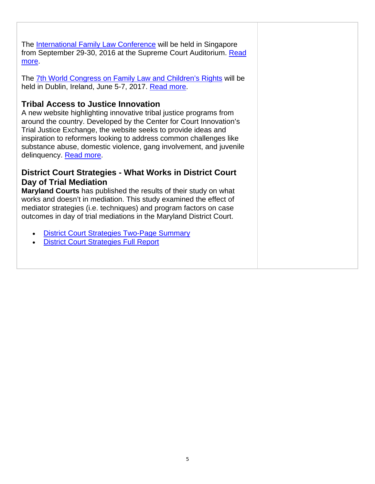The International Family Law Conference will be held in Singapore from September 29-30, 2016 at the Supreme Court Auditorium. Read more.

The 7th World Congress on Family Law and Children's Rights will be held in Dublin, Ireland, June 5-7, 2017. Read more.

#### **Tribal Access to Justice Innovation**

A new website highlighting innovative tribal justice programs from around the country. Developed by the Center for Court Innovation's Trial Justice Exchange, the website seeks to provide ideas and inspiration to reformers looking to address common challenges like substance abuse, domestic violence, gang involvement, and juvenile delinquency. Read more.

#### **District Court Strategies - What Works in District Court Day of Trial Mediation**

**Maryland Courts** has published the results of their study on what works and doesn't in mediation. This study examined the effect of mediator strategies (i.e. techniques) and program factors on case outcomes in day of trial mediations in the Maryland District Court.

- District Court Strategies Two-Page Summary
- District Court Strategies Full Report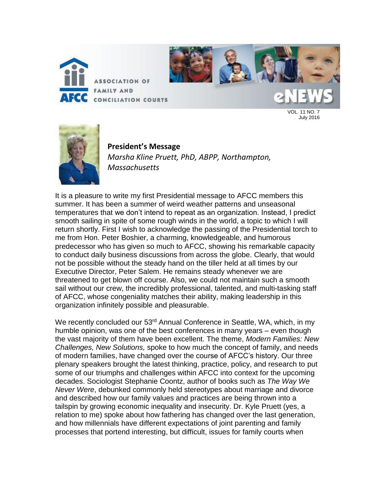



VOL. 11 NO. 7 July 2016



**President's Message** *Marsha Kline Pruett, PhD, ABPP, Northampton, Massachusetts*

It is a pleasure to write my first Presidential message to AFCC members this summer. It has been a summer of weird weather patterns and unseasonal temperatures that we don't intend to repeat as an organization. Instead, I predict smooth sailing in spite of some rough winds in the world, a topic to which I will return shortly. First I wish to acknowledge the passing of the Presidential torch to me from Hon. Peter Boshier, a charming, knowledgeable, and humorous predecessor who has given so much to AFCC, showing his remarkable capacity to conduct daily business discussions from across the globe. Clearly, that would not be possible without the steady hand on the tiller held at all times by our Executive Director, Peter Salem. He remains steady whenever we are threatened to get blown off course. Also, we could not maintain such a smooth sail without our crew, the incredibly professional, talented, and multi-tasking staff of AFCC, whose congeniality matches their ability, making leadership in this organization infinitely possible and pleasurable.

We recently concluded our 53<sup>rd</sup> Annual Conference in Seattle, WA, which, in my humble opinion, was one of the best conferences in many years – even though the vast majority of them have been excellent. The theme, *Modern Families: New Challenges, New Solutions,* spoke to how much the concept of family, and needs of modern families, have changed over the course of AFCC's history. Our three plenary speakers brought the latest thinking, practice, policy, and research to put some of our triumphs and challenges within AFCC into context for the upcoming decades. Sociologist Stephanie Coontz, author of books such as *The Way We Never Were*, debunked commonly held stereotypes about marriage and divorce and described how our family values and practices are being thrown into a tailspin by growing economic inequality and insecurity. Dr. Kyle Pruett (yes, a relation to me) spoke about how fathering has changed over the last generation, and how millennials have different expectations of joint parenting and family processes that portend interesting, but difficult, issues for family courts when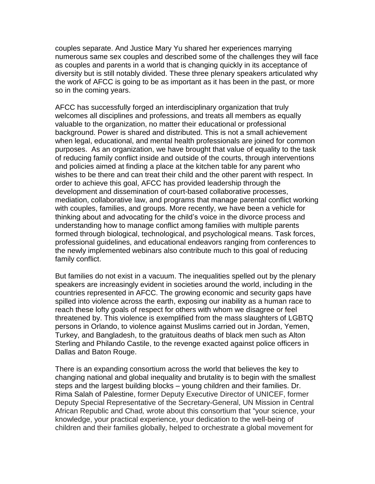couples separate. And Justice Mary Yu shared her experiences marrying numerous same sex couples and described some of the challenges they will face as couples and parents in a world that is changing quickly in its acceptance of diversity but is still notably divided. These three plenary speakers articulated why the work of AFCC is going to be as important as it has been in the past, or more so in the coming years.

AFCC has successfully forged an interdisciplinary organization that truly welcomes all disciplines and professions, and treats all members as equally valuable to the organization, no matter their educational or professional background. Power is shared and distributed. This is not a small achievement when legal, educational, and mental health professionals are joined for common purposes. As an organization, we have brought that value of equality to the task of reducing family conflict inside and outside of the courts, through interventions and policies aimed at finding a place at the kitchen table for any parent who wishes to be there and can treat their child and the other parent with respect. In order to achieve this goal, AFCC has provided leadership through the development and dissemination of court-based collaborative processes, mediation, collaborative law, and programs that manage parental conflict working with couples, families, and groups. More recently, we have been a vehicle for thinking about and advocating for the child's voice in the divorce process and understanding how to manage conflict among families with multiple parents formed through biological, technological, and psychological means. Task forces, professional guidelines, and educational endeavors ranging from conferences to the newly implemented webinars also contribute much to this goal of reducing family conflict.

But families do not exist in a vacuum. The inequalities spelled out by the plenary speakers are increasingly evident in societies around the world, including in the countries represented in AFCC. The growing economic and security gaps have spilled into violence across the earth, exposing our inability as a human race to reach these lofty goals of respect for others with whom we disagree or feel threatened by. This violence is exemplified from the mass slaughters of LGBTQ persons in Orlando, to violence against Muslims carried out in Jordan, Yemen, Turkey, and Bangladesh, to the gratuitous deaths of black men such as Alton Sterling and Philando Castile, to the revenge exacted against police officers in Dallas and Baton Rouge.

There is an expanding consortium across the world that believes the key to changing national and global inequality and brutality is to begin with the smallest steps and the largest building blocks – young children and their families. Dr. Rima Salah of Palestine, former Deputy Executive Director of UNICEF, former Deputy Special Representative of the Secretary-General, UN Mission in Central African Republic and Chad*,* wrote about this consortium that "your science, your knowledge, your practical experience, your dedication to the well-being of children and their families globally, helped to orchestrate a global movement for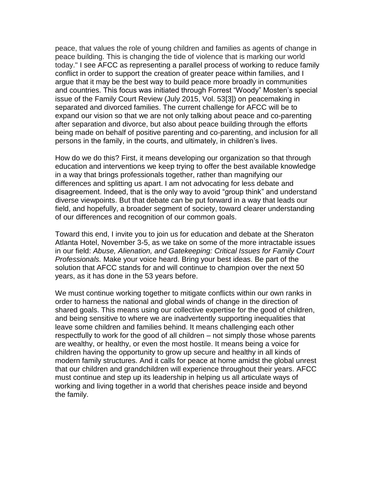peace, that values the role of young children and families as agents of change in peace building. This is changing the tide of violence that is marking our world today." I see AFCC as representing a parallel process of working to reduce family conflict in order to support the creation of greater peace within families, and I argue that it may be the best way to build peace more broadly in communities and countries. This focus was initiated through Forrest "Woody" Mosten's special issue of the Family Court Review (July 2015, Vol. 53[3]) on peacemaking in separated and divorced families. The current challenge for AFCC will be to expand our vision so that we are not only talking about peace and co-parenting after separation and divorce, but also about peace building through the efforts being made on behalf of positive parenting and co-parenting, and inclusion for all persons in the family, in the courts, and ultimately, in children's lives.

How do we do this? First, it means developing our organization so that through education and interventions we keep trying to offer the best available knowledge in a way that brings professionals together, rather than magnifying our differences and splitting us apart. I am not advocating for less debate and disagreement. Indeed, that is the only way to avoid "group think" and understand diverse viewpoints. But that debate can be put forward in a way that leads our field, and hopefully, a broader segment of society, toward clearer understanding of our differences and recognition of our common goals.

Toward this end, I invite you to join us for education and debate at the Sheraton Atlanta Hotel, November 3-5, as we take on some of the more intractable issues in our field: *Abuse, Alienation, and Gatekeeping: Critical Issues for Family Court Professionals.* Make your voice heard. Bring your best ideas. Be part of the solution that AFCC stands for and will continue to champion over the next 50 years, as it has done in the 53 years before.

We must continue working together to mitigate conflicts within our own ranks in order to harness the national and global winds of change in the direction of shared goals. This means using our collective expertise for the good of children, and being sensitive to where we are inadvertently supporting inequalities that leave some children and families behind. It means challenging each other respectfully to work for the good of all children – not simply those whose parents are wealthy, or healthy, or even the most hostile. It means being a voice for children having the opportunity to grow up secure and healthy in all kinds of modern family structures. And it calls for peace at home amidst the global unrest that our children and grandchildren will experience throughout their years. AFCC must continue and step up its leadership in helping us all articulate ways of working and living together in a world that cherishes peace inside and beyond the family.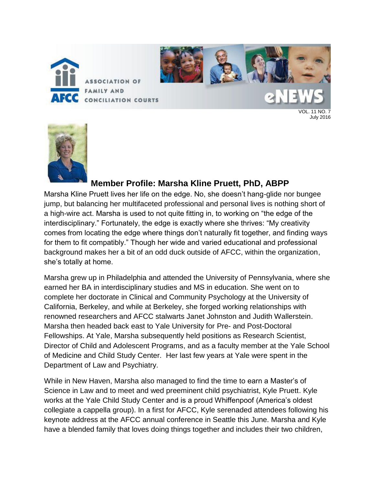



# **Member Profile: Marsha Kline Pruett, PhD, ABPP**

Marsha Kline Pruett lives her life on the edge. No, she doesn't hang-glide nor bungee jump, but balancing her multifaceted professional and personal lives is nothing short of a high-wire act. Marsha is used to not quite fitting in, to working on "the edge of the interdisciplinary." Fortunately, the edge is exactly where she thrives: "My creativity comes from locating the edge where things don't naturally fit together, and finding ways for them to fit compatibly." Though her wide and varied educational and professional background makes her a bit of an odd duck outside of AFCC, within the organization, she's totally at home.

Marsha grew up in Philadelphia and attended the University of Pennsylvania, where she earned her BA in interdisciplinary studies and MS in education. She went on to complete her doctorate in Clinical and Community Psychology at the University of California, Berkeley, and while at Berkeley, she forged working relationships with renowned researchers and AFCC stalwarts Janet Johnston and Judith Wallerstein. Marsha then headed back east to Yale University for Pre- and Post-Doctoral Fellowships. At Yale, Marsha subsequently held positions as Research Scientist, Director of Child and Adolescent Programs, and as a faculty member at the Yale School of Medicine and Child Study Center. Her last few years at Yale were spent in the Department of Law and Psychiatry.

While in New Haven, Marsha also managed to find the time to earn a Master's of Science in Law and to meet and wed preeminent child psychiatrist, Kyle Pruett. Kyle works at the Yale Child Study Center and is a proud Whiffenpoof (America's oldest collegiate a cappella group). In a first for AFCC, Kyle serenaded attendees following his keynote address at the AFCC annual conference in Seattle this June. Marsha and Kyle have a blended family that loves doing things together and includes their two children,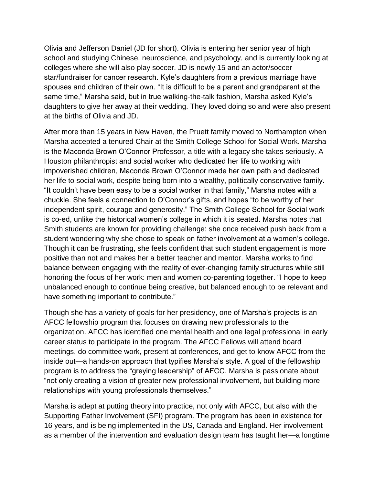Olivia and Jefferson Daniel (JD for short). Olivia is entering her senior year of high school and studying Chinese, neuroscience, and psychology, and is currently looking at colleges where she will also play soccer. JD is newly 15 and an actor/soccer star/fundraiser for cancer research. Kyle's daughters from a previous marriage have spouses and children of their own. "It is difficult to be a parent and grandparent at the same time," Marsha said, but in true walking-the-talk fashion, Marsha asked Kyle's daughters to give her away at their wedding. They loved doing so and were also present at the births of Olivia and JD.

After more than 15 years in New Haven, the Pruett family moved to Northampton when Marsha accepted a tenured Chair at the Smith College School for Social Work. Marsha is the Maconda Brown O'Connor Professor, a title with a legacy she takes seriously. A Houston philanthropist and social worker who dedicated her life to working with impoverished children, Maconda Brown O'Connor made her own path and dedicated her life to social work, despite being born into a wealthy, politically conservative family. "It couldn't have been easy to be a social worker in that family," Marsha notes with a chuckle. She feels a connection to O'Connor's gifts, and hopes "to be worthy of her independent spirit, courage and generosity." The Smith College School for Social work is co-ed, unlike the historical women's college in which it is seated. Marsha notes that Smith students are known for providing challenge: she once received push back from a student wondering why she chose to speak on father involvement at a women's college. Though it can be frustrating, she feels confident that such student engagement is more positive than not and makes her a better teacher and mentor. Marsha works to find balance between engaging with the reality of ever-changing family structures while still honoring the focus of her work: men and women co-parenting together. "I hope to keep unbalanced enough to continue being creative, but balanced enough to be relevant and have something important to contribute."

Though she has a variety of goals for her presidency, one of Marsha's projects is an AFCC fellowship program that focuses on drawing new professionals to the organization. AFCC has identified one mental health and one legal professional in early career status to participate in the program. The AFCC Fellows will attend board meetings, do committee work, present at conferences, and get to know AFCC from the inside out—a hands-on approach that typifies Marsha's style. A goal of the fellowship program is to address the "greying leadership" of AFCC. Marsha is passionate about "not only creating a vision of greater new professional involvement, but building more relationships with young professionals themselves."

Marsha is adept at putting theory into practice, not only with AFCC, but also with the Supporting Father Involvement (SFI) program. The program has been in existence for 16 years, and is being implemented in the US, Canada and England. Her involvement as a member of the intervention and evaluation design team has taught her—a longtime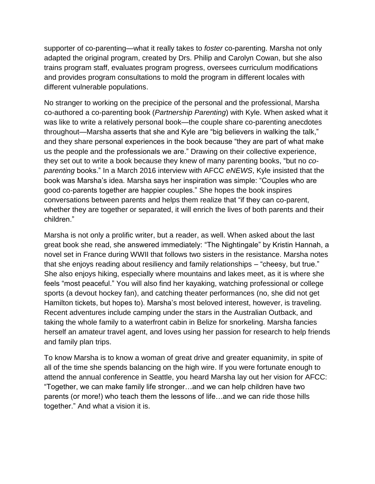supporter of co-parenting—what it really takes to *foster* co-parenting. Marsha not only adapted the original program, created by Drs. Philip and Carolyn Cowan, but she also trains program staff, evaluates program progress, oversees curriculum modifications and provides program consultations to mold the program in different locales with different vulnerable populations.

No stranger to working on the precipice of the personal and the professional, Marsha co-authored a co-parenting book (*Partnership Parenting*) with Kyle. When asked what it was like to write a relatively personal book—the couple share co-parenting anecdotes throughout—Marsha asserts that she and Kyle are "big believers in walking the talk," and they share personal experiences in the book because "they are part of what make us the people and the professionals we are." Drawing on their collective experience, they set out to write a book because they knew of many parenting books, "but no *coparenting* books." In a March 2016 interview with AFCC *eNEWS*, Kyle insisted that the book was Marsha's idea. Marsha says her inspiration was simple: "Couples who are good co-parents together are happier couples." She hopes the book inspires conversations between parents and helps them realize that "if they can co-parent, whether they are together or separated, it will enrich the lives of both parents and their children."

Marsha is not only a prolific writer, but a reader, as well. When asked about the last great book she read, she answered immediately: "The Nightingale" by Kristin Hannah, a novel set in France during WWII that follows two sisters in the resistance. Marsha notes that she enjoys reading about resiliency and family relationships – "cheesy, but true." She also enjoys hiking, especially where mountains and lakes meet, as it is where she feels "most peaceful." You will also find her kayaking, watching professional or college sports (a devout hockey fan), and catching theater performances (no, she did not get Hamilton tickets, but hopes to). Marsha's most beloved interest, however, is traveling. Recent adventures include camping under the stars in the Australian Outback, and taking the whole family to a waterfront cabin in Belize for snorkeling. Marsha fancies herself an amateur travel agent, and loves using her passion for research to help friends and family plan trips.

To know Marsha is to know a woman of great drive and greater equanimity, in spite of all of the time she spends balancing on the high wire. If you were fortunate enough to attend the annual conference in Seattle, you heard Marsha lay out her vision for AFCC: "Together, we can make family life stronger…and we can help children have two parents (or more!) who teach them the lessons of life…and we can ride those hills together." And what a vision it is.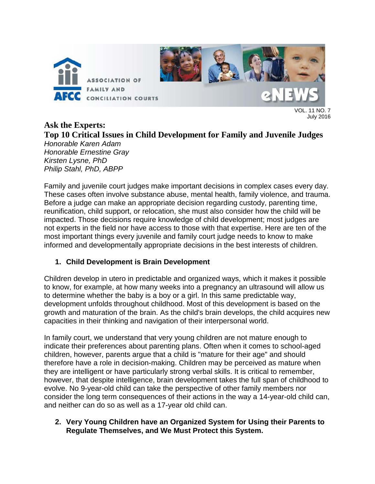

11  $N<sub>O</sub>$  7 July 2016

# **Ask the Experts: Top 10 Critical Issues in Child Development for Family and Juvenile Judges**

*Honorable Karen Adam Honorable Ernestine Gray Kirsten Lysne, PhD Philip Stahl, PhD, ABPP*

Family and juvenile court judges make important decisions in complex cases every day. These cases often involve substance abuse, mental health, family violence, and trauma. Before a judge can make an appropriate decision regarding custody, parenting time, reunification, child support, or relocation, she must also consider how the child will be impacted. Those decisions require knowledge of child development; most judges are not experts in the field nor have access to those with that expertise. Here are ten of the most important things every juvenile and family court judge needs to know to make informed and developmentally appropriate decisions in the best interests of children.

#### **1. Child Development is Brain Development**

Children develop in utero in predictable and organized ways, which it makes it possible to know, for example, at how many weeks into a pregnancy an ultrasound will allow us to determine whether the baby is a boy or a girl. In this same predictable way, development unfolds throughout childhood. Most of this development is based on the growth and maturation of the brain. As the child's brain develops, the child acquires new capacities in their thinking and navigation of their interpersonal world.

In family court, we understand that very young children are not mature enough to indicate their preferences about parenting plans. Often when it comes to school-aged children, however, parents argue that a child is "mature for their age" and should therefore have a role in decision-making. Children may be perceived as mature when they are intelligent or have particularly strong verbal skills. It is critical to remember, however, that despite intelligence, brain development takes the full span of childhood to evolve. No 9-year-old child can take the perspective of other family members nor consider the long term consequences of their actions in the way a 14-year-old child can, and neither can do so as well as a 17-year old child can.

#### **2. Very Young Children have an Organized System for Using their Parents to Regulate Themselves, and We Must Protect this System.**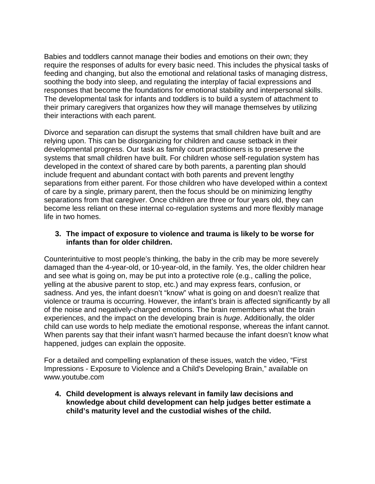Babies and toddlers cannot manage their bodies and emotions on their own; they require the responses of adults for every basic need. This includes the physical tasks of feeding and changing, but also the emotional and relational tasks of managing distress, soothing the body into sleep, and regulating the interplay of facial expressions and responses that become the foundations for emotional stability and interpersonal skills. The developmental task for infants and toddlers is to build a system of attachment to their primary caregivers that organizes how they will manage themselves by utilizing their interactions with each parent.

Divorce and separation can disrupt the systems that small children have built and are relying upon. This can be disorganizing for children and cause setback in their developmental progress. Our task as family court practitioners is to preserve the systems that small children have built. For children whose self-regulation system has developed in the context of shared care by both parents, a parenting plan should include frequent and abundant contact with both parents and prevent lengthy separations from either parent. For those children who have developed within a context of care by a single, primary parent, then the focus should be on minimizing lengthy separations from that caregiver. Once children are three or four years old, they can become less reliant on these internal co-regulation systems and more flexibly manage life in two homes.

#### **3. The impact of exposure to violence and trauma is likely to be worse for infants than for older children.**

Counterintuitive to most people's thinking, the baby in the crib may be more severely damaged than the 4-year-old, or 10-year-old, in the family. Yes, the older children hear and see what is going on, may be put into a protective role (e.g., calling the police, yelling at the abusive parent to stop, etc.) and may express fears, confusion, or sadness. And yes, the infant doesn't "know" what is going on and doesn't realize that violence or trauma is occurring. However, the infant's brain is affected significantly by all of the noise and negatively-charged emotions. The brain remembers what the brain experiences, and the impact on the developing brain is *huge*. Additionally, the older child can use words to help mediate the emotional response, whereas the infant cannot. When parents say that their infant wasn't harmed because the infant doesn't know what happened, judges can explain the opposite.

For a detailed and compelling explanation of these issues, watch the video, "First Impressions - Exposure to Violence and a Child's Developing Brain," available on www.youtube.com

**4. Child development is always relevant in family law decisions and knowledge about child development can help judges better estimate a child's maturity level and the custodial wishes of the child.**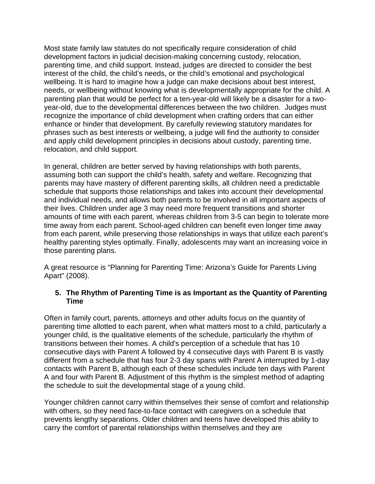Most state family law statutes do not specifically require consideration of child development factors in judicial decision-making concerning custody, relocation, parenting time, and child support. Instead, judges are directed to consider the best interest of the child, the child's needs, or the child's emotional and psychological wellbeing. It is hard to imagine how a judge can make decisions about best interest, needs, or wellbeing without knowing what is developmentally appropriate for the child. A parenting plan that would be perfect for a ten-year-old will likely be a disaster for a twoyear-old, due to the developmental differences between the two children. Judges must recognize the importance of child development when crafting orders that can either enhance or hinder that development. By carefully reviewing statutory mandates for phrases such as best interests or wellbeing, a judge will find the authority to consider and apply child development principles in decisions about custody, parenting time, relocation, and child support.

In general, children are better served by having relationships with both parents, assuming both can support the child's health, safety and welfare. Recognizing that parents may have mastery of different parenting skills, all children need a predictable schedule that supports those relationships and takes into account their developmental and individual needs, and allows both parents to be involved in all important aspects of their lives. Children under age 3 may need more frequent transitions and shorter amounts of time with each parent, whereas children from 3-5 can begin to tolerate more time away from each parent. School-aged children can benefit even longer time away from each parent, while preserving those relationships in ways that utilize each parent's healthy parenting styles optimally. Finally, adolescents may want an increasing voice in those parenting plans.

A great resource is "Planning for Parenting Time: Arizona's Guide for Parents Living Apart" (2008).

#### **5. The Rhythm of Parenting Time is as Important as the Quantity of Parenting Time**

Often in family court, parents, attorneys and other adults focus on the quantity of parenting time allotted to each parent, when what matters most to a child, particularly a younger child, is the qualitative elements of the schedule, particularly the rhythm of transitions between their homes. A child's perception of a schedule that has 10 consecutive days with Parent A followed by 4 consecutive days with Parent B is vastly different from a schedule that has four 2-3 day spans with Parent A interrupted by 1-day contacts with Parent B, although each of these schedules include ten days with Parent A and four with Parent B. Adjustment of this rhythm is the simplest method of adapting the schedule to suit the developmental stage of a young child.

Younger children cannot carry within themselves their sense of comfort and relationship with others, so they need face-to-face contact with caregivers on a schedule that prevents lengthy separations. Older children and teens have developed this ability to carry the comfort of parental relationships within themselves and they are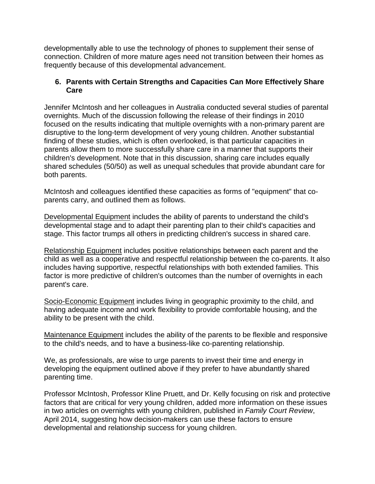developmentally able to use the technology of phones to supplement their sense of connection. Children of more mature ages need not transition between their homes as frequently because of this developmental advancement.

#### **6. Parents with Certain Strengths and Capacities Can More Effectively Share Care**

Jennifer McIntosh and her colleagues in Australia conducted several studies of parental overnights. Much of the discussion following the release of their findings in 2010 focused on the results indicating that multiple overnights with a non-primary parent are disruptive to the long-term development of very young children. Another substantial finding of these studies, which is often overlooked, is that particular capacities in parents allow them to more successfully share care in a manner that supports their children's development. Note that in this discussion, sharing care includes equally shared schedules (50/50) as well as unequal schedules that provide abundant care for both parents.

McIntosh and colleagues identified these capacities as forms of "equipment" that coparents carry, and outlined them as follows.

Developmental Equipment includes the ability of parents to understand the child's developmental stage and to adapt their parenting plan to their child's capacities and stage. This factor trumps all others in predicting children's success in shared care.

Relationship Equipment includes positive relationships between each parent and the child as well as a cooperative and respectful relationship between the co-parents. It also includes having supportive, respectful relationships with both extended families. This factor is more predictive of children's outcomes than the number of overnights in each parent's care.

Socio-Economic Equipment includes living in geographic proximity to the child, and having adequate income and work flexibility to provide comfortable housing, and the ability to be present with the child.

Maintenance Equipment includes the ability of the parents to be flexible and responsive to the child's needs, and to have a business-like co-parenting relationship.

We, as professionals, are wise to urge parents to invest their time and energy in developing the equipment outlined above if they prefer to have abundantly shared parenting time.

Professor McIntosh, Professor Kline Pruett, and Dr. Kelly focusing on risk and protective factors that are critical for very young children, added more information on these issues in two articles on overnights with young children, published in *Family Court Review*, April 2014, suggesting how decision-makers can use these factors to ensure developmental and relationship success for young children.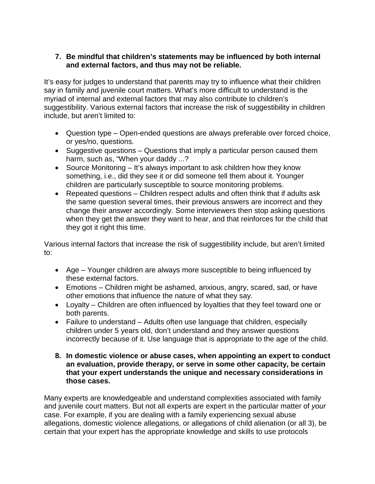#### **7. Be mindful that children's statements may be influenced by both internal and external factors, and thus may not be reliable.**

It's easy for judges to understand that parents may try to influence what their children say in family and juvenile court matters. What's more difficult to understand is the myriad of internal and external factors that may also contribute to children's suggestibility. Various external factors that increase the risk of suggestibility in children include, but aren't limited to:

- Question type Open-ended questions are always preferable over forced choice, or yes/no, questions.
- Suggestive questions Questions that imply a particular person caused them harm, such as, "When your daddy ...?
- Source Monitoring It's always important to ask children how they know something, i.e., did they see it or did someone tell them about it. Younger children are particularly susceptible to source monitoring problems.
- Repeated questions Children respect adults and often think that if adults ask the same question several times, their previous answers are incorrect and they change their answer accordingly. Some interviewers then stop asking questions when they get the answer they want to hear, and that reinforces for the child that they got it right this time.

Various internal factors that increase the risk of suggestibility include, but aren't limited to:

- Age Younger children are always more susceptible to being influenced by these external factors.
- Emotions Children might be ashamed, anxious, angry, scared, sad, or have other emotions that influence the nature of what they say.
- Loyalty Children are often influenced by loyalties that they feel toward one or both parents.
- Failure to understand Adults often use language that children, especially children under 5 years old, don't understand and they answer questions incorrectly because of it. Use language that is appropriate to the age of the child.
- **8. In domestic violence or abuse cases, when appointing an expert to conduct an evaluation, provide therapy, or serve in some other capacity, be certain that your expert understands the unique and necessary considerations in those cases.**

Many experts are knowledgeable and understand complexities associated with family and juvenile court matters. But not all experts are expert in the particular matter of *your* case. For example, if you are dealing with a family experiencing sexual abuse allegations, domestic violence allegations, or allegations of child alienation (or all 3), be certain that your expert has the appropriate knowledge and skills to use protocols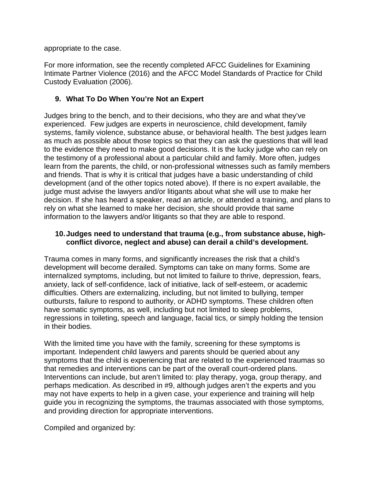appropriate to the case.

For more information, see the recently completed AFCC Guidelines for Examining Intimate Partner Violence (2016) and the AFCC Model Standards of Practice for Child Custody Evaluation (2006).

#### **9. What To Do When You're Not an Expert**

Judges bring to the bench, and to their decisions, who they are and what they've experienced. Few judges are experts in neuroscience, child development, family systems, family violence, substance abuse, or behavioral health. The best judges learn as much as possible about those topics so that they can ask the questions that will lead to the evidence they need to make good decisions. It is the lucky judge who can rely on the testimony of a professional about a particular child and family. More often, judges learn from the parents, the child, or non-professional witnesses such as family members and friends. That is why it is critical that judges have a basic understanding of child development (and of the other topics noted above). If there is no expert available, the judge must advise the lawyers and/or litigants about what she will use to make her decision. If she has heard a speaker, read an article, or attended a training, and plans to rely on what she learned to make her decision, she should provide that same information to the lawyers and/or litigants so that they are able to respond.

#### **10.Judges need to understand that trauma (e.g., from substance abuse, highconflict divorce, neglect and abuse) can derail a child's development.**

Trauma comes in many forms, and significantly increases the risk that a child's development will become derailed. Symptoms can take on many forms. Some are internalized symptoms, including, but not limited to failure to thrive, depression, fears, anxiety, lack of self-confidence, lack of initiative, lack of self-esteem, or academic difficulties. Others are externalizing, including, but not limited to bullying, temper outbursts, failure to respond to authority, or ADHD symptoms. These children often have somatic symptoms, as well, including but not limited to sleep problems, regressions in toileting, speech and language, facial tics, or simply holding the tension in their bodies.

With the limited time you have with the family, screening for these symptoms is important. Independent child lawyers and parents should be queried about any symptoms that the child is experiencing that are related to the experienced traumas so that remedies and interventions can be part of the overall court-ordered plans. Interventions can include, but aren't limited to: play therapy, yoga, group therapy, and perhaps medication. As described in #9, although judges aren't the experts and you may not have experts to help in a given case, your experience and training will help guide you in recognizing the symptoms, the traumas associated with those symptoms, and providing direction for appropriate interventions.

Compiled and organized by: